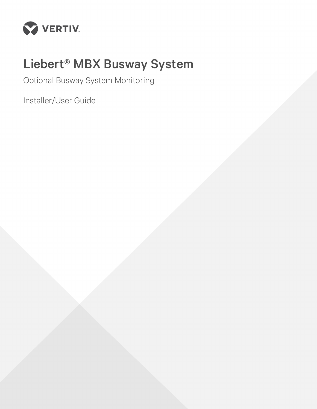

# Liebert® MBX Busway System

Optional Busway System Monitoring

Installer/User Guide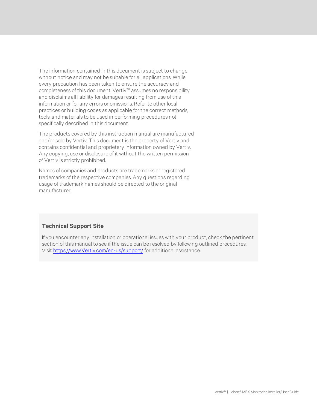The information contained in this document is subject to change without notice and may not be suitable for all applications. While every precaution has been taken to ensure the accuracy and completeness of this document, Vertiv™ assumes no responsibility and disclaims all liability for damages resulting from use of this information or for any errors or omissions. Refer to other local practices or building codes as applicable for the correct methods, tools, and materials to be used in performing procedures not specifically described in this document.

The products covered by this instruction manual are manufactured and/or sold by Vertiv. This document is the property of Vertiv and contains confidential and proprietary information owned by Vertiv. Any copying, use or disclosure of it without the written permission of Vertiv is strictly prohibited.

Names of companies and products are trademarks or registered trademarks of the respective companies. Any questions regarding usage of trademark names should be directed to the original manufacturer.

### **Technical Support Site**

If you encounter any installation or operational issues with your product, check the pertinent section of this manual to see if the issue can be resolved by following outlined procedures. Visit [https://www.Vertiv.com/en-us/support/](https://www.vertiv.com/en-us/support/) for additional assistance.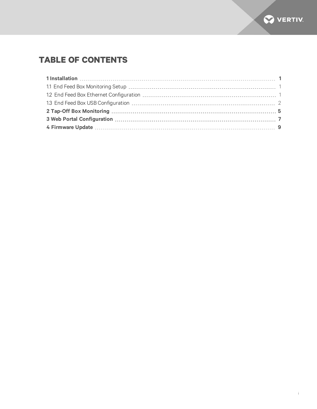

# **TABLE OF CONTENTS**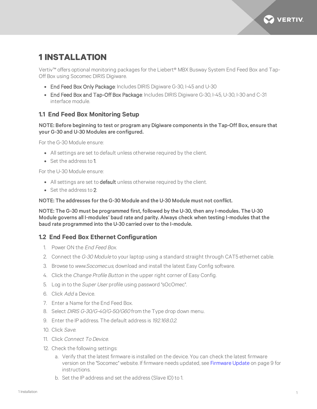

# <span id="page-4-0"></span>**1 INSTALLATION**

Vertiv™ offers optional monitoring packages for the Liebert® MBX Busway System End Feed Box and Tap-Off Box using Socomec DIRIS Digiware.

- End Feed Box Only Package: Includes DIRIS Digiware G-30, I-45 and U-30
- End Feed Box and Tap-Off Box Package: Includes DIRIS Digiware G-30, I-45, U-30, I-30 and C-31 interface module.

### <span id="page-4-1"></span>**1.1 End Feed Box Monitoring Setup**

NOTE: Before beginning to test or program any Digiware components in the Tap-Off Box, ensure that your G-30 and U-30 Modules are configured.

For the G-30 Module ensure:

- All settings are set to default unless otherwise required by the client.
- Set the address to 1.

For the U-30 Module ensure:

- All settings are set to default unless otherwise required by the client.
- Set the address to 2.

NOTE: The addresses for the G-30 Module and the U-30 Module must not conflict.

NOTE: The G-30 must be programmed first, followed by the U-30, then any I-modules. The U-30 Module governs all I-modules' baud rate and parity. Always check when testing I-modules that the baud rate programmed into the U-30 carried over to the I-module.

### <span id="page-4-2"></span>**1.2 End Feed Box Ethernet Configuration**

- 1. Power ON the End Feed Box.
- 2. Connect the G-30 Module to your laptop using a standard straight through CAT5 ethernet cable.
- 3. Browse to www.Socomec.us, download and install the latest Easy Config software.
- 4. Click the Change Profile Button in the upper right corner of Easy Config.
- 5. Log in to the Super User profile using password "sOcOmec".
- 6. Click Add a Device.
- 7. Enter a Name for the End Feed Box.
- 8. Select DIRIS G-30/G-40/G-50/G60 from the Type drop down menu.
- 9. Enter the IP address. The default address is 192.168.0.2.
- <span id="page-4-3"></span>10. Click Save.
- 11. Click Connect To Device.
- 12. Check the following settings:
	- a. Verify that the latest firmware is installed on the device. You can check the latest firmware version on the "Socomec" website. If firmware needs updated, see [Firmware](#page-12-0) Update on page 9 for instructions.
	- b. Set the IP address and set the address (Slave ID) to 1.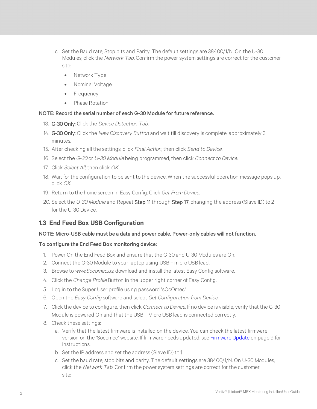- c. Set the Baud rate, Stop bits and Parity. The default settings are 38400/1/N. On the U-30 Modules, click the Network Tab. Confirm the power system settings are correct for the customer site:
	- Network Type
	- Nominal Voltage
	- Frequency
	- Phase Rotation

### NOTE: Record the serial number of each G-30 Module for future reference.

- 13. G-30 Only: Click the Device Detection Tab.
- 14. G-30 Only: Click the New Discovery Button and wait till discovery is complete, approximately 3 minutes.
- 15. After checking all the settings, click Final Action, then click Send to Device.
- <span id="page-5-1"></span>16. Select the G-30 or U-30 Module being programmed, then click Connect to Device.
- 17. Click Select All, then click OK.
- 18. Wait for the configuration to be sent to the device. When the successful operation message pops up, click OK.
- 19. Return to the home screen in Easy Config. Click Get From Device.
- 20. Select the U-30 Module and Repeat [Step](#page-5-1) 11 through Step 17, changing the address (Slave ID) to 2 for the U-30 Device.

## <span id="page-5-0"></span>**1.3 End Feed Box USB Configuration**

#### NOTE: Micro-USB cable must be a data and power cable. Power-only cables will not function.

### To configure the End Feed Box monitoring device:

- 1. Power On the End Feed Box and ensure that the G-30 and U-30 Modules are On.
- 2. Connect the G-30 Module to your laptop using USB micro USB lead.
- 3. Browse to www.Socomec.us, download and install the latest Easy Config software.
- 4. Click the Change Profile Button in the upper right corner of Easy Config.
- <span id="page-5-2"></span>5. Log in to the Super User profile using password "sOcOmec".
- 6. Open the Easy Config software and select Get Configuration from Device.
- 7. Click the device to configure, then click Connect to Device. If no device is visible, verify that the G-30 Module is powered On and that the USB – Micro USB lead is connected correctly.
- 8. Check these settings:
	- a. Verify that the latest firmware is installed on the device. You can check the latest firmware version on the "Socomec" website. If firmware needs updated, see [Firmware](#page-12-0) Update on page 9 for instructions.
	- b. Set the IP address and set the address (Slave ID) to 1.
	- c. Set the baud rate, stop bits and parity. The default settings are 38400/1/N. On U-30 Modules, click the Network Tab. Confirm the power system settings are correct for the customer site: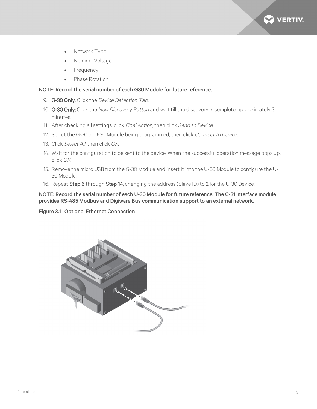

- Network Type
- Nominal Voltage
- Frequency
- Phase Rotation

#### NOTE: Record the serial number of each G30 Module for future reference.

- 9. **G-30 Only:** Click the Device Detection Tab.
- 10. G-30 Only: Click the New Discovery Button and wait till the discovery is complete, approximately 3 minutes.
- 11. After checking all settings, click Final Action, then click Send to Device.
- <span id="page-6-0"></span>12. Select the G-30 or U-30 Module being programmed, then click Connect to Device.
- 13. Click Select All, then click OK.
- 14. Wait for the configuration to be sent to the device. When the successful operation message pops up, click OK.
- 15. Remove the micro USB from the G-30 Module and insert it into the U-30 Module to configure the U-30 Module.
- 16. Repeat [Step](#page-5-2) 6 through [Step](#page-6-0) 14, changing the address (Slave ID) to 2 for the U-30 Device.

#### NOTE: Record the serial number of each U-30 Module for future reference. The C-31 interface module provides RS-485 Modbus and Digiware Bus communication support to an external network.

Figure 3.1 Optional Ethernet Connection

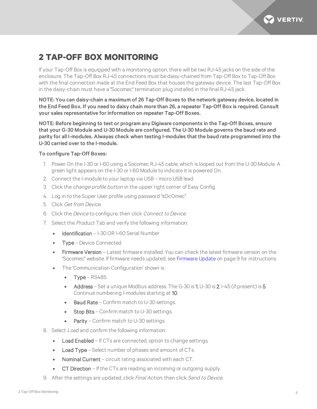

# <span id="page-8-0"></span>**2 TAP-OFF BOX MONITORING**

If your Tap-Off Box is equipped with a monitoring option, there will be two RJ-45 jacks on the side of the enclosure. The Tap-Off Box RJ-45 connections must be daisy-chained from Tap-Off Box to Tap-Off Box with the final connection made at the End Feed Box that houses the gateway device. The last Tap-Off Box in the daisy-chain must have a "Socomec" termination plug installed in the final RJ-45 jack.

NOTE: You can daisy-chain a maximum of 26 Tap-Off Boxes to the network gateway device, located in the End Feed Box. If you need to daisy chain more than 26, a repeater Tap-Off Box is required. Consult your sales representative for information on repeater Tap-Off Boxes.

NOTE: Before beginning to test or program any Digiware components in the Tap-Off Boxes, ensure that your G-30 Module and U-30 Module are configured. The U-30 Module governs the baud rate and parity for all I-modules. Alwayas check when testing I-modules that the baud rate programmed into the U-30 carried over to the I-module.

#### To configure Tap-Off Boxes:

- 1. Power On the I-30 or I-60 using a Socomec RJ-45 cable, which is looped out from the U-30 Module. A green light appears on the I-30 or I-60 Module to indicate it is powered On.
- 2. Connect the I-module to your laptop via USB micro USB lead.
- 3. Click the change profile button in the upper right corner of Easy Config.
- 4. Log in to the Super User profile using password "sOcOmec".
- 5. Click Get from Device.
- 6. Click the Device to configure, then click Connect to Device.
- 7. Select the Product Tab and verify the following information:
	- Identification I-30 OR I-60 Serial Number
	- Type Device Connected
	- Firmware Version Latest firmware installed. You can check the latest firmware version on the "Socomec" website. If firmware needs updated, see [Firmware](#page-12-0) Update on page 9 for instructions.
	- The 'Communication Configuration' shown is :
		- Type RS485.
		- Address Set a unique Modbus address. The G-30 is 1, U-30 is 2, I-45 (if present) is 5. Continue numbering I-modules starting at 10.
		- Baud Rate Confirm match to U-30 settings.
		- Stop Bits Confirm match to U-30 settings.
		- Parity Confirm match to U-30 settings.
- 8. Select Load and confirm the following information:
	- Load Enabled If CTs are connected, option to change settings.
	- Load Type Select number of phases and amount of CTs.
	- Nominal Current circuit rating associated with each CT.
	- CT Direction If the CTs are reading an incoming or outgoing supply.
- 9. After the settings are updated, click Final Action, then click Send to Device.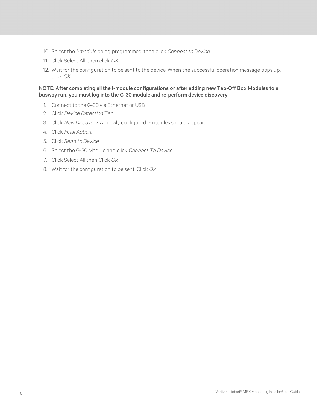- 10. Select the *I-module* being programmed, then click Connect to Device.
- 11. Click Select All, then click OK.
- 12. Wait for the configuration to be sent to the device. When the successful operation message pops up, click OK.

#### NOTE: After completing allthe I-module configurations or after adding new Tap-Off Box Modules to a busway run, you must log into the G-30 module and re-perform device discovery.

- 1. Connect to the G-30 via Ethernet or USB.
- 2. Click Device Detection Tab.
- 3. Click New Discovery. All newly configured I-modules should appear.
- 4. Click Final Action.
- 5. Click Send to Device.
- 6. Select the G-30 Module and click Connect To Device.
- 7. Click Select All then Click Ok.
- 8. Wait for the configuration to be sent. Click Ok.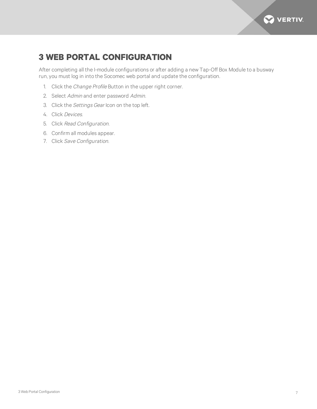

# <span id="page-10-0"></span>**3 WEB PORTAL CONFIGURATION**

After completing all the I-module configurations or after adding a new Tap-Off Box Module to a busway run, you must log in into the Socomec web portal and update the configuration.

- 1. Click the Change Profile Button in the upper right corner.
- 2. Select Admin and enter password Admin.
- 3. Click the Settings Gear Icon on the top left.
- 4. Click Devices.
- 5. Click Read Configuration.
- 6. Confirm all modules appear.
- 7. Click Save Configuration.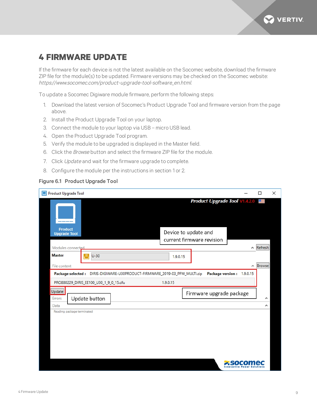

# <span id="page-12-0"></span>**4 FIRMWARE UPDATE**

If the firmware for each device is not the latest available on the Socomec website, download the firmware ZIP file for the module(s) to be updated. Firmware versions may be checked on the Socomec website: https://www.socomec.com/product-upgrade-tool-software\_en.html.

To update a Socomec Digiware module firmware, perform the following steps:

- 1. Download the latest version of Socomec's Product Upgrade Tool and firmware version from the page above.
- 2. Install the Product Upgrade Tool on your laptop.
- 3. Connect the module to your laptop via USB micro USB lead.
- 4. Open the Product Upgrade Tool program.
- 5. Verify the module to be upgraded is displayed in the Master field.
- 6. Click the Browse button and select the firmware ZIP file for the module.
- 7. Click Update and wait for the firmware upgrade to complete.
- 8. Configure the module per the instructions in section 1 or 2.

#### Figure 6.1 Product Upgrade Tool

| Product Upgrade Tool                                       |                                        |                                                                            |          |                                                   |                           | □<br>$\times$   |
|------------------------------------------------------------|----------------------------------------|----------------------------------------------------------------------------|----------|---------------------------------------------------|---------------------------|-----------------|
|                                                            |                                        |                                                                            |          | <b>Product Upgrade Tool V1.4.2.0</b>              |                           | l,              |
| <b>Product</b><br><b>Upgrade Tool</b><br>Modules connected |                                        |                                                                            |          | Device to update and<br>current firmware revision |                           | $\land$ Refresh |
| <b>Master</b>                                              | $U-30$<br>ā.                           |                                                                            | 1.9.0.15 |                                                   |                           |                 |
| File content                                               |                                        |                                                                            |          |                                                   | ٨                         | Browse          |
|                                                            | PRO880229_DIRIS_EE100_U30_1_9_0_15.dfu | Package selected: DIRIS-DIGIWARE-U30PRODUCT-FIRMWARE_2019-03_PFW_MULTI.zip | 1.9.0.15 |                                                   | Package version: 1.9.0.15 |                 |
| Update<br>Errors<br>Data                                   | Update button                          |                                                                            |          | Firmware upgrade package                          |                           | ᄉ<br>۸          |
| Reading package terminated                                 |                                        |                                                                            |          |                                                   |                           |                 |
|                                                            |                                        |                                                                            |          |                                                   |                           |                 |
|                                                            |                                        |                                                                            |          |                                                   | <b>ASOCOMEC</b>           |                 |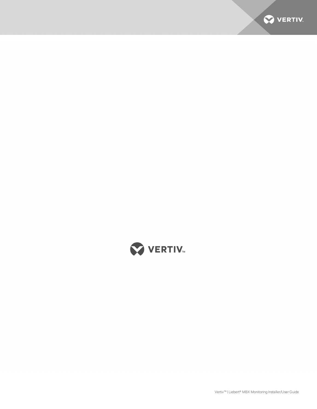